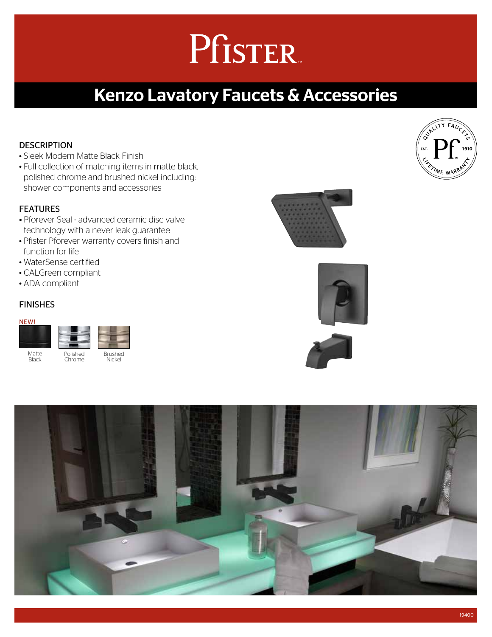# Pfister.

### Kenzo Lavatory Faucets & Accessories

### **DESCRIPTION**

- Sleek Modern Matte Black Finish
- Full collection of matching items in matte black, polished chrome and brushed nickel including: shower components and accessories

#### FEATURES

- Pforever Seal advanced ceramic disc valve technology with a never leak guarantee
- Pfister Pforever warranty covers finish and function for life
- WaterSense certified
- CALGreen compliant
- ADA compliant

#### FINISHES

#### NEW!

| Matte        | Polished | <b>Brushed</b> |  |
|--------------|----------|----------------|--|
| <b>Black</b> | Chrome   | Nickel         |  |